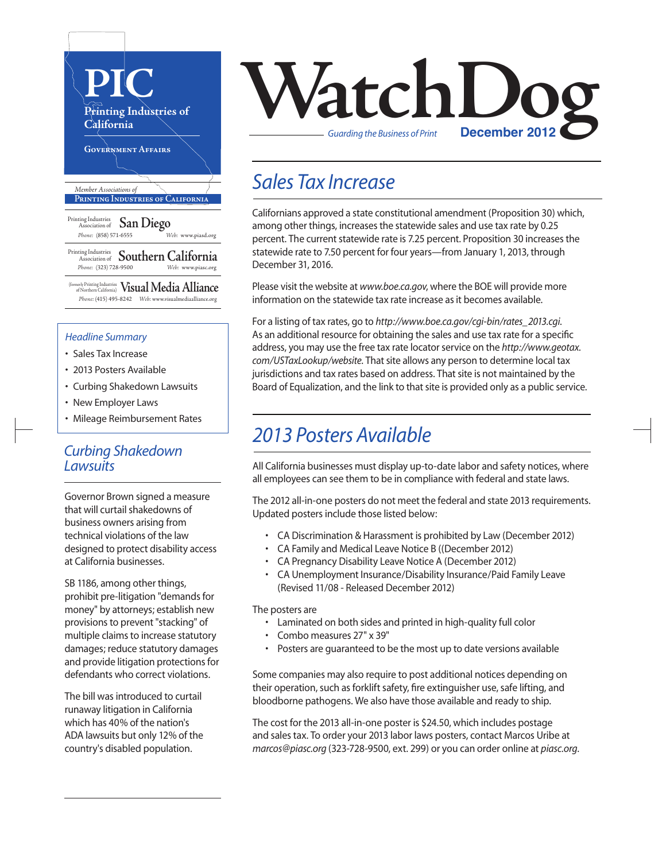

#### *Headline Summary*

- Sales Tax Increase
- 2013 Posters Available
- Curbing Shakedown Lawsuits
- New Employer Laws
- Mileage Reimbursement Rates

### *Curbing Shakedown Lawsuits*

Governor Brown signed a measure that will curtail shakedowns of business owners arising from technical violations of the law designed to protect disability access at California businesses.

SB 1186, among other things, prohibit pre-litigation "demands for money" by attorneys; establish new provisions to prevent "stacking" of multiple claims to increase statutory damages; reduce statutory damages and provide litigation protections for defendants who correct violations.

The bill was introduced to curtail runaway litigation in California which has 40% of the nation's ADA lawsuits but only 12% of the country's disabled population.



### *Sales Tax Increase*

Californians approved a state constitutional amendment (Proposition 30) which, among other things, increases the statewide sales and use tax rate by 0.25 percent. The current statewide rate is 7.25 percent. Proposition 30 increases the statewide rate to 7.50 percent for four years—from January 1, 2013, through December 31, 2016.

Please visit the website at *www.boe.ca.gov*, where the BOE will provide more information on the statewide tax rate increase as it becomes available.

For a listing of tax rates, go to *http://www.boe.ca.gov/cgi-bin/rates\_2013.cgi*. As an additional resource for obtaining the sales and use tax rate for a specific address, you may use the free tax rate locator service on the *http://www.geotax.* com/USTaxLookup/website. That site allows any person to determine local tax jurisdictions and tax rates based on address. That site is not maintained by the Board of Equalization, and the link to that site is provided only as a public service.

## *2013 Posters Available*

All California businesses must display up-to-date labor and safety notices, where all employees can see them to be in compliance with federal and state laws.

The 2012 all-in-one posters do not meet the federal and state 2013 requirements. Updated posters include those listed below:

- CA Discrimination & Harassment is prohibited by Law (December 2012)
- CA Family and Medical Leave Notice B ((December 2012)
- CA Pregnancy Disability Leave Notice A (December 2012)
- CA Unemployment Insurance/Disability Insurance/Paid Family Leave (Revised 11/08 - Released December 2012)

The posters are

- Laminated on both sides and printed in high-quality full color
- Combo measures 27" x 39"
- Posters are guaranteed to be the most up to date versions available

Some companies may also require to post additional notices depending on their operation, such as forklift safety, fire extinguisher use, safe lifting, and bloodborne pathogens. We also have those available and ready to ship.

The cost for the 2013 all-in-one poster is \$24.50, which includes postage and sales tax. To order your 2013 labor laws posters, contact Marcos Uribe at *marcos@piasc.org* (323-728-9500, ext. 299) or you can order online at *piasc.org*.